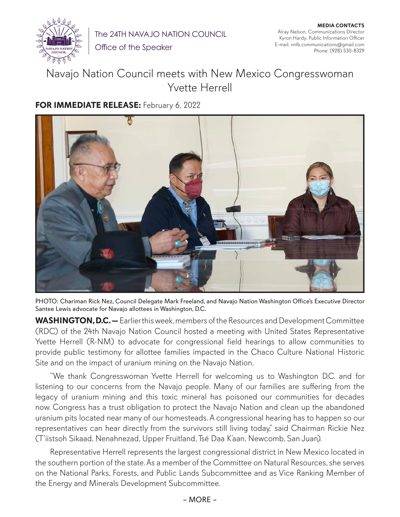

The 24TH NAVAJO NATION COUNCIL

Office of the Speaker

## Navajo Nation Council meets with New Mexico Congresswoman Yvette Herrell

## **FOR IMMEDIATE RELEASE:** February 6, 2022



PHOTO: Chariman Rick Nez, Council Delegate Mark Freeland, and Navajo Nation Washington Office's Executive Director Santee Lewis advocate for Navajo allottees in Washington, D.C.

**WASHINGTON, D.C. —** Earlier this week, members of the Resources and Development Committee (RDC) of the 24th Navajo Nation Council hosted a meeting with United States Representative Yvette Herrell (R-NM) to advocate for congressional field hearings to allow communities to provide public testimony for allottee families impacted in the Chaco Culture National Historic Site and on the impact of uranium mining on the Navajo Nation.

"We thank Congresswoman Yvette Herrell for welcoming us to Washington D.C. and for listening to our concerns from the Navajo people. Many of our families are suffering from the legacy of uranium mining and this toxic mineral has poisoned our communities for decades now. Congress has a trust obligation to protect the Navajo Nation and clean up the abandoned uranium pits located near many of our homesteads. A congressional hearing has to happen so our representatives can hear directly from the survivors still living today," said Chairman Rickie Nez (T'iistsoh Sikaad, Nenahnezad, Upper Fruitland, Tsé Daa K'aan, Newcomb, San Juan).

Representative Herrell represents the largest congressional district in New Mexico located in the southern portion of the state. As a member of the Committee on Natural Resources, she serves on the National Parks, Forests, and Public Lands Subcommittee and as Vice Ranking Member of the Energy and Minerals Development Subcommittee.